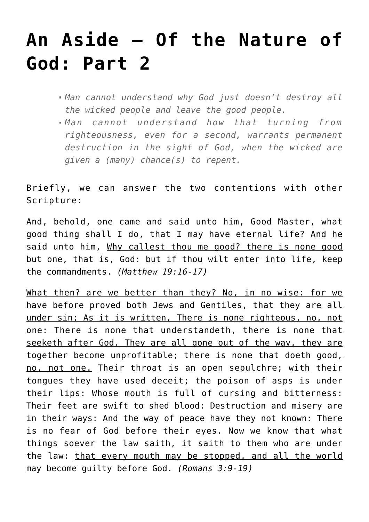## **[An Aside – Of the Nature of](http://reproachofmen.org/2009/03/an-aside-of-the-nature-of-god-part-2/) [God: Part 2](http://reproachofmen.org/2009/03/an-aside-of-the-nature-of-god-part-2/)**

- *Man cannot understand why God just doesn't destroy all the wicked people and leave the good people.*
- *Man cannot understand how that turning from righteousness, even for a second, warrants permanent destruction in the sight of God, when the wicked are given a (many) chance(s) to repent.*

Briefly, we can answer the two contentions with other Scripture:

And, behold, one came and said unto him, Good Master, what good thing shall I do, that I may have eternal life? And he said unto him, Why callest thou me good? there is none good but <u>one, that is, God:</u> but if thou wilt enter into life, keep the commandments. *(Matthew 19:16-17)*

What then? are we better than they? No, in no wise: for we have before proved both Jews and Gentiles, that they are all under sin; As it is written, There is none righteous, no, not one: There is none that understandeth, there is none that seeketh after God. They are all gone out of the way, they are together become unprofitable; there is none that doeth good, no, not one. Their throat is an open sepulchre; with their tongues they have used deceit; the poison of asps is under their lips: Whose mouth is full of cursing and bitterness: Their feet are swift to shed blood: Destruction and misery are in their ways: And the way of peace have they not known: There is no fear of God before their eyes. Now we know that what things soever the law saith, it saith to them who are under the law: that every mouth may be stopped, and all the world may become guilty before God. *(Romans 3:9-19)*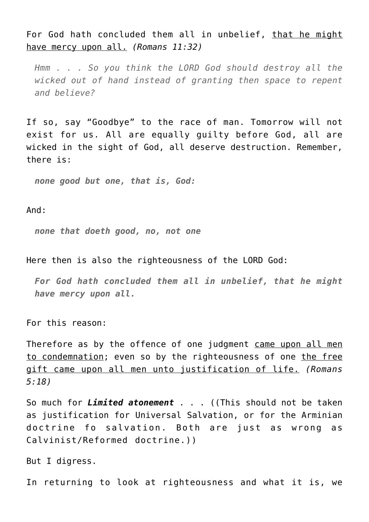For God hath concluded them all in unbelief, that he might have mercy upon all. *(Romans 11:32)*

*Hmm . . . So you think the LORD God should destroy all the wicked out of hand instead of granting then space to repent and believe?*

If so, say "Goodbye" to the race of man. Tomorrow will not exist for us. All are equally guilty before God, all are wicked in the sight of God, all deserve destruction. Remember, there is:

*none good but one, that is, God:*

And:

*none that doeth good, no, not one*

Here then is also the righteousness of the LORD God:

*For God hath concluded them all in unbelief, that he might have mercy upon all.*

For this reason:

Therefore as by the offence of one judgment came upon all men to condemnation; even so by the righteousness of one the free gift came upon all men unto justification of life. *(Romans 5:18)*

So much for *Limited atonement* . . . ((This should not be taken as justification for Universal Salvation, or for the Arminian doctrine fo salvation. Both are just as wrong as Calvinist/Reformed doctrine.))

But I digress.

In returning to look at righteousness and what it is, we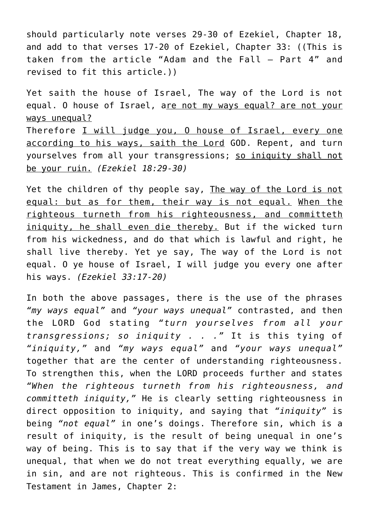should particularly note verses 29-30 of Ezekiel, Chapter 18, and add to that verses 17-20 of Ezekiel, Chapter 33: ((This is taken from the article "[Adam and the Fall – Part 4](http://www.reproachofmen.org/blog/?p=410)" and revised to fit this article.))

Yet saith the house of Israel, The way of the Lord is not equal. O house of Israel, are not my ways equal? are not your ways unequal? Therefore I will judge you, 0 house of Israel, every one according to his ways, saith the Lord GOD. Repent, and turn yourselves from all your transgressions; so iniquity shall not be your ruin. *(Ezekiel 18:29-30)*

Yet the children of thy people say, The way of the Lord is not equal: but as for them, their way is not equal. When the righteous turneth from his righteousness, and committeth iniquity, he shall even die thereby. But if the wicked turn from his wickedness, and do that which is lawful and right, he shall live thereby. Yet ye say, The way of the Lord is not equal. O ye house of Israel, I will judge you every one after his ways. *(Ezekiel 33:17-20)*

In both the above passages, there is the use of the phrases *"my ways equal"* and *"your ways unequal"* contrasted, and then the LORD God stating *"turn yourselves from all your transgressions; so iniquity . . ."* It is this tying of *"iniquity,"* and *"my ways equal"* and *"your ways unequal"* together that are the center of understanding righteousness. To strengthen this, when the LORD proceeds further and states *"When the righteous turneth from his righteousness, and committeth iniquity,"* He is clearly setting righteousness in direct opposition to iniquity, and saying that *"iniquity"* is being *"not equal"* in one's doings. Therefore sin, which is a result of iniquity, is the result of being unequal in one's way of being. This is to say that if the very way we think is unequal, that when we do not treat everything equally, we are in sin, and are not righteous. This is confirmed in the New Testament in James, Chapter 2: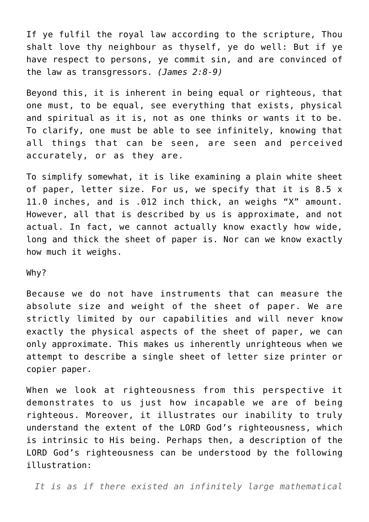If ye fulfil the royal law according to the scripture, Thou shalt love thy neighbour as thyself, ye do well: But if ye have respect to persons, ye commit sin, and are convinced of the law as transgressors. *(James 2:8-9)*

Beyond this, it is inherent in being equal or righteous, that one must, to be equal, see everything that exists, physical and spiritual as it is, not as one thinks or wants it to be. To clarify, one must be able to see infinitely, knowing that all things that can be seen, are seen and perceived accurately, or as they are.

To simplify somewhat, it is like examining a plain white sheet of paper, letter size. For us, we specify that it is 8.5 x 11.0 inches, and is .012 inch thick, an weighs "X" amount. However, all that is described by us is approximate, and not actual. In fact, we cannot actually know exactly how wide, long and thick the sheet of paper is. Nor can we know exactly how much it weighs.

## Why?

Because we do not have instruments that can measure the absolute size and weight of the sheet of paper. We are strictly limited by our capabilities and will never know exactly the physical aspects of the sheet of paper, we can only approximate. This makes us inherently unrighteous when we attempt to describe a single sheet of letter size printer or copier paper.

When we look at righteousness from this perspective it demonstrates to us just how incapable we are of being righteous. Moreover, it illustrates our inability to truly understand the extent of the LORD God's righteousness, which is intrinsic to His being. Perhaps then, a description of the LORD God's righteousness can be understood by the following illustration:

*It is as if there existed an infinitely large mathematical*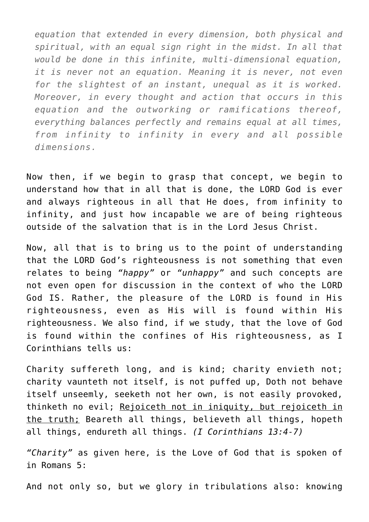*equation that extended in every dimension, both physical and spiritual, with an equal sign right in the midst. In all that would be done in this infinite, multi-dimensional equation, it is never not an equation. Meaning it is never, not even for the slightest of an instant, unequal as it is worked. Moreover, in every thought and action that occurs in this equation and the outworking or ramifications thereof, everything balances perfectly and remains equal at all times, from infinity to infinity in every and all possible dimensions.*

Now then, if we begin to grasp that concept, we begin to understand how that in all that is done, the LORD God is ever and always righteous in all that He does, from infinity to infinity, and just how incapable we are of being righteous outside of the salvation that is in the Lord Jesus Christ.

Now, all that is to bring us to the point of understanding that the LORD God's righteousness is not something that even relates to being *"happy"* or *"unhappy"* and such concepts are not even open for discussion in the context of who the LORD God IS. Rather, the pleasure of the LORD is found in His righteousness, even as His will is found within His righteousness. We also find, if we study, that the love of God is found within the confines of His righteousness, as I Corinthians tells us:

Charity suffereth long, and is kind; charity envieth not; charity vaunteth not itself, is not puffed up, Doth not behave itself unseemly, seeketh not her own, is not easily provoked, thinketh no evil; Rejoiceth not in iniquity, but rejoiceth in the truth; Beareth all things, believeth all things, hopeth all things, endureth all things. *(I Corinthians 13:4-7)*

*"Charity"* as given here, is the Love of God that is spoken of in Romans 5:

And not only so, but we glory in tribulations also: knowing